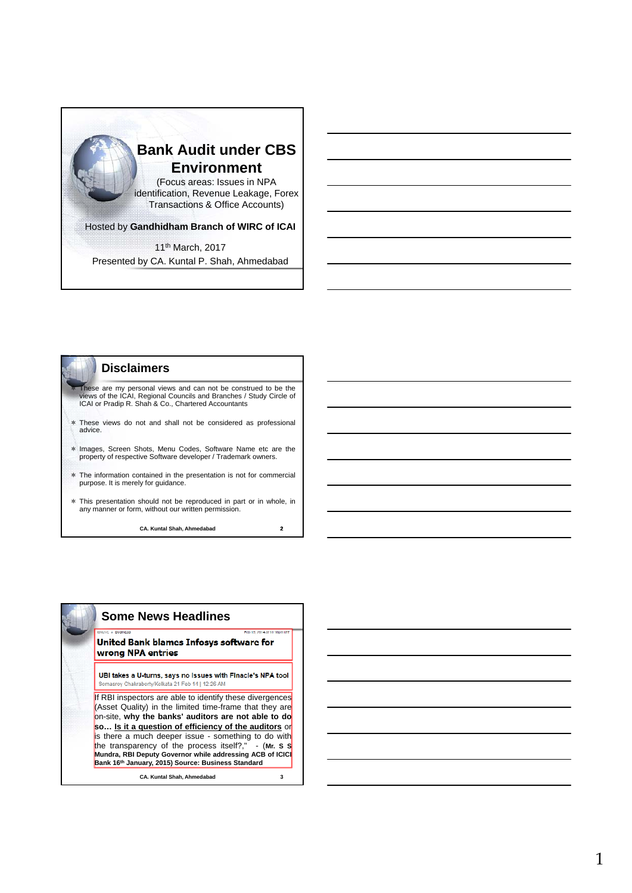



|  | <b>Some News Headlines</b>                                                                                                                                                                                                                                                                                                                                                                                                                                          |
|--|---------------------------------------------------------------------------------------------------------------------------------------------------------------------------------------------------------------------------------------------------------------------------------------------------------------------------------------------------------------------------------------------------------------------------------------------------------------------|
|  | <b>IDNLIVE + DUSINESS</b><br>Feb 19, 2014 at 10:10pm IST<br>United Bank blames Infosys software for<br>wrong NPA entries                                                                                                                                                                                                                                                                                                                                            |
|  | UBI takes a U-turns, says no issues with Finacle's NPA tool<br>Somasroy Chakraborty/Kolkata 21 Feb 14   12:26 AM                                                                                                                                                                                                                                                                                                                                                    |
|  | If RBI inspectors are able to identify these divergences<br>(Asset Quality) in the limited time-frame that they are<br>on-site, why the banks' auditors are not able to do<br>so Is it a question of efficiency of the auditors or<br>is there a much deeper issue - something to do with<br>the transparency of the process itself?," - (Mr. S S<br>Mundra, RBI Deputy Governor while addressing ACB of ICIC<br>Bank 16th January, 2015) Source: Business Standard |
|  | <b>CA. Kuntal Shah. Ahmedabad</b><br>3                                                                                                                                                                                                                                                                                                                                                                                                                              |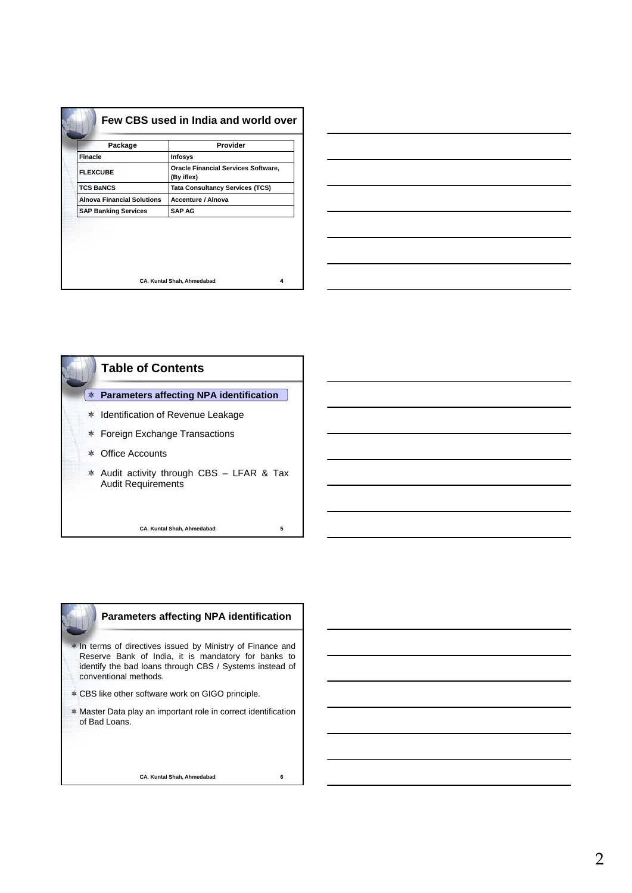| Package                           | Provider                                                 |
|-----------------------------------|----------------------------------------------------------|
| <b>Finacle</b>                    | Infosys                                                  |
| <b>FLEXCUBE</b>                   | <b>Oracle Financial Services Software,</b><br>(By iflex) |
| <b>TCS BaNCS</b>                  | <b>Tata Consultancy Services (TCS)</b>                   |
| <b>Alnova Financial Solutions</b> | <b>Accenture / Alnova</b>                                |
| <b>SAP Banking Services</b>       | <b>SAP AG</b>                                            |
|                                   |                                                          |





# **Parameters affecting NPA identification**

 $*$  In terms of directives issued by Ministry of Finance and Reserve Bank of India, it is mandatory for banks to identify the bad loans through CBS / Systems instead of conventional methods.

- \* CBS like other software work on GIGO principle.
- Master Data play an important role in correct identification of Bad Loans.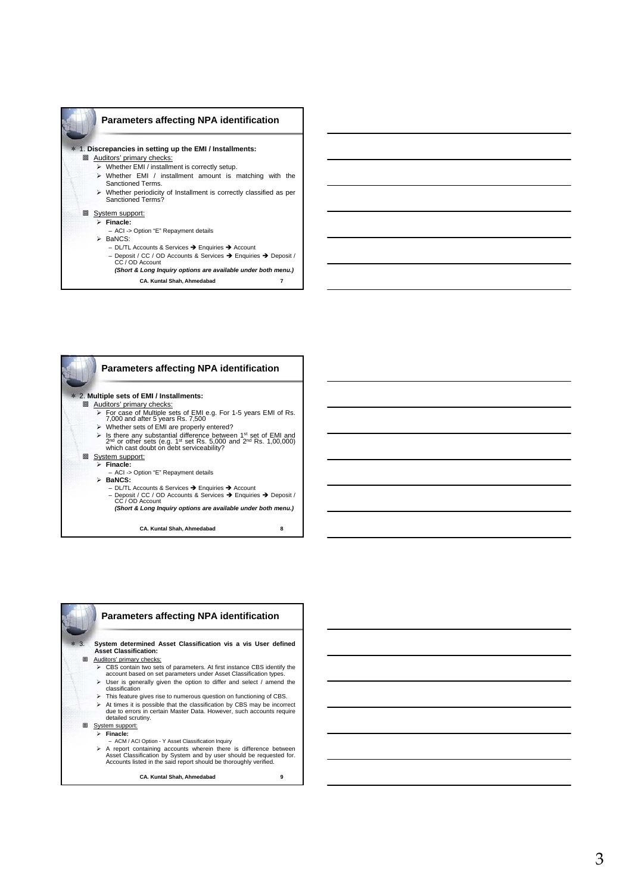

# **Parameters affecting NPA identification**

#### 1. **Discrepancies in setting up the EMI / Installments:**

- **Auditors' primary checks:** 
	- Whether EMI / installment is correctly setup.
	- $\triangleright$  Whether EMI / installment amount is matching with the Sanctioned Terms.
	- Whether periodicity of Installment is correctly classified as per Sanctioned Terms?

## **回** System support:

- **Finacle:**
	- ACI -> Option "E" Repayment details
- $\triangleright$  BaNCS:
	- DL/TL Accounts & Services → Enquiries → Account – Deposit / CC / OD Accounts & Services Enquiries Deposit / CC / OD Account *(Short & Long Inquiry options are available under both menu.)*
		- **CA. Kuntal Shah, Ahmedabad 7**



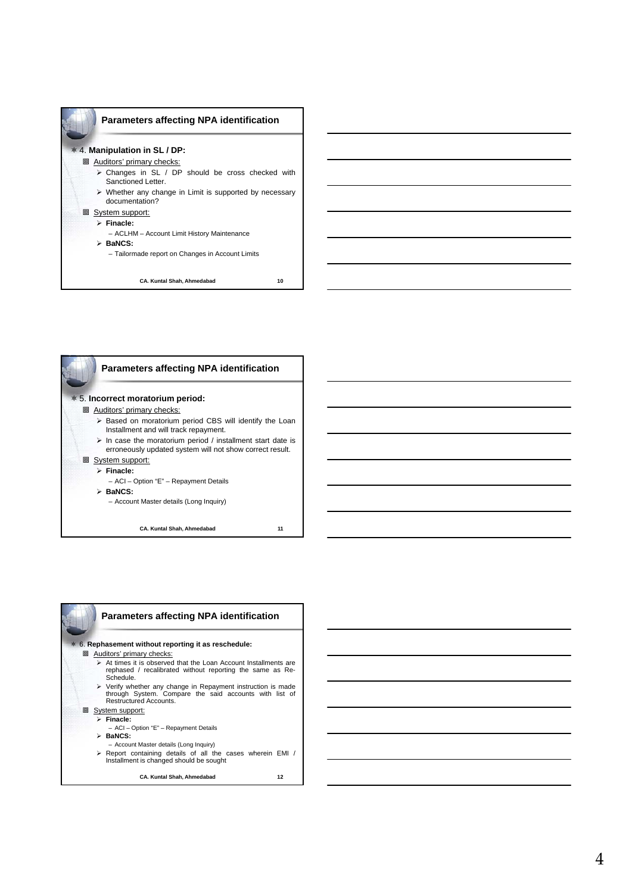

# 4. **Manipulation in SL / DP:**

## **回 Auditors' primary checks:**

- $\triangleright$  Changes in SL / DP should be cross checked with Sanctioned Letter.
- Whether any change in Limit is supported by necessary documentation?

## **回 System support:**

- **Finacle:**
	- ACLHM Account Limit History Maintenance

#### **BaNCS:**

– Tailormade report on Changes in Account Limits



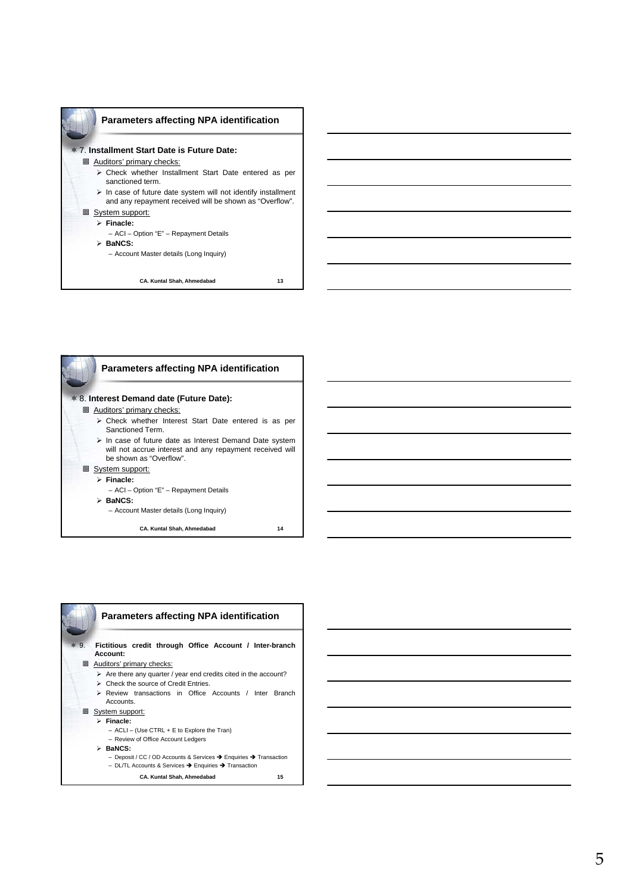

#### 7. **Installment Start Date is Future Date:**

**回 Auditors' primary checks:** 

- Check whether Installment Start Date entered as per sanctioned term.
- $\triangleright$  In case of future date system will not identify installment and any repayment received will be shown as "Overflow".

# **回 System support:**

- **Finacle:**
	- ACI Option "E" Repayment Details
- **BaNCS:**

– Account Master details (Long Inquiry)



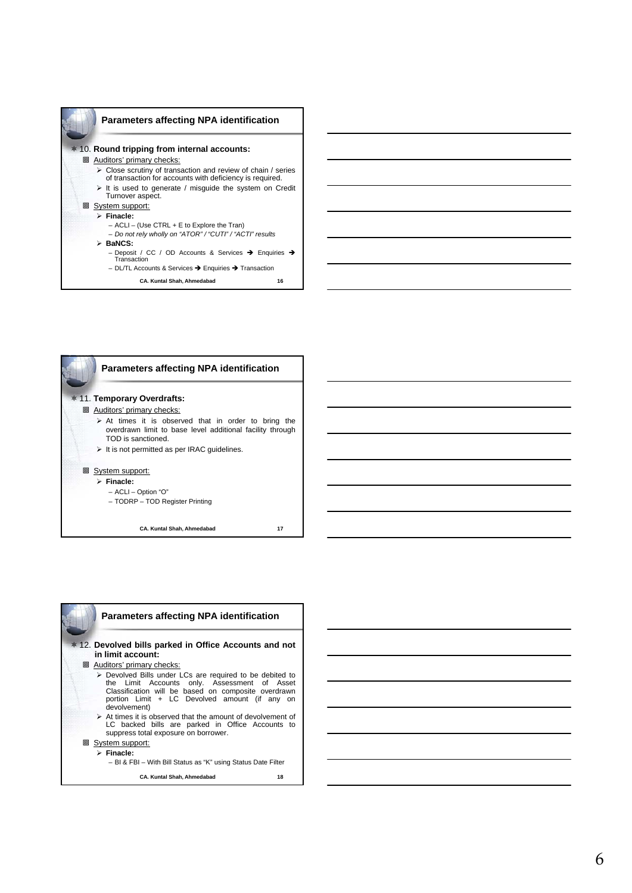



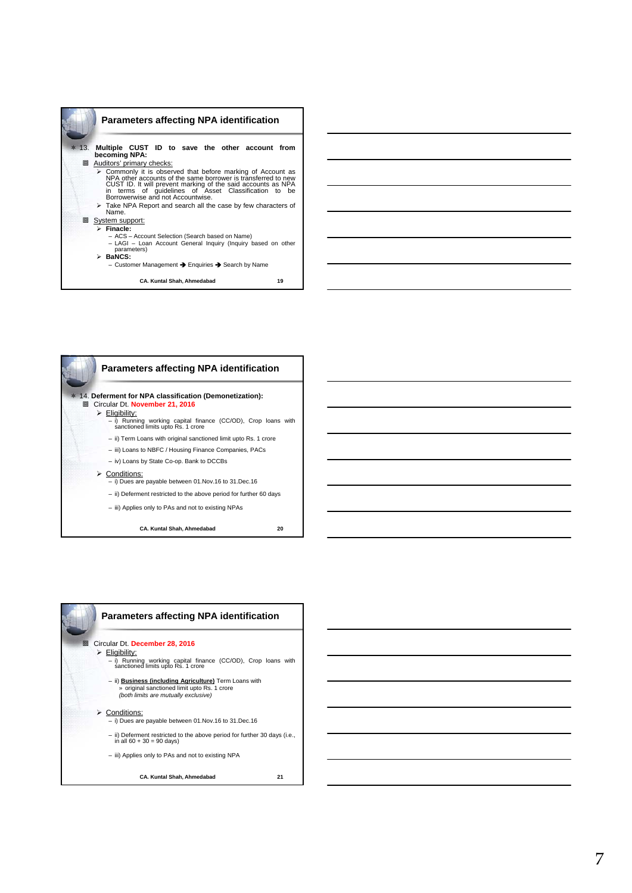

**CA. Kuntal Shah, Ahmedabad 19**



**CA. Kuntal Shah, Ahmedabad 20**



7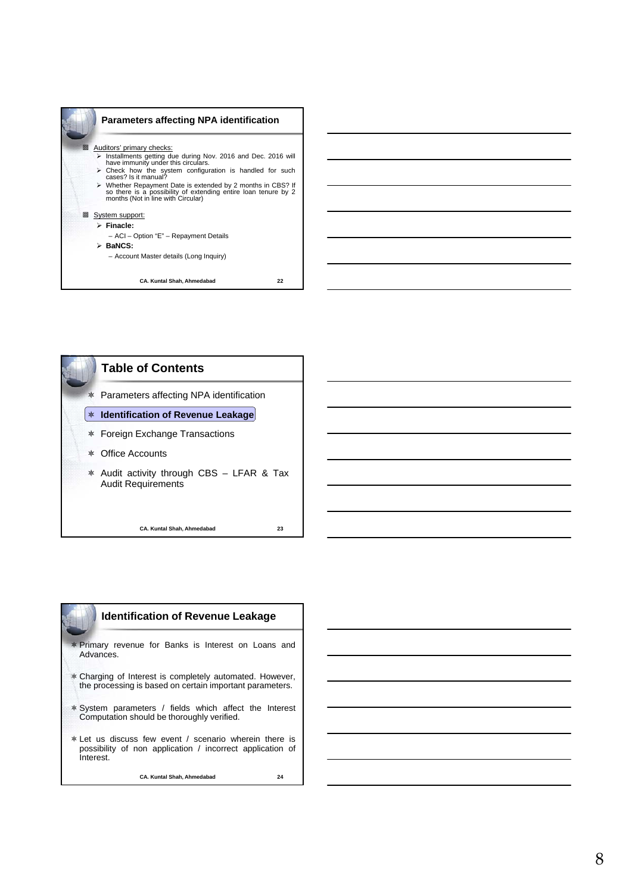



| <b>Identification of Revenue Leakage</b>                                                                                         |
|----------------------------------------------------------------------------------------------------------------------------------|
| * Primary revenue for Banks is Interest on Loans and<br>Advances.                                                                |
| * Charging of Interest is completely automated. However,<br>the processing is based on certain important parameters.             |
| * System parameters / fields which affect the Interest<br>Computation should be thoroughly verified.                             |
| * Let us discuss few event / scenario wherein there is<br>possibility of non application / incorrect application of<br>Interest. |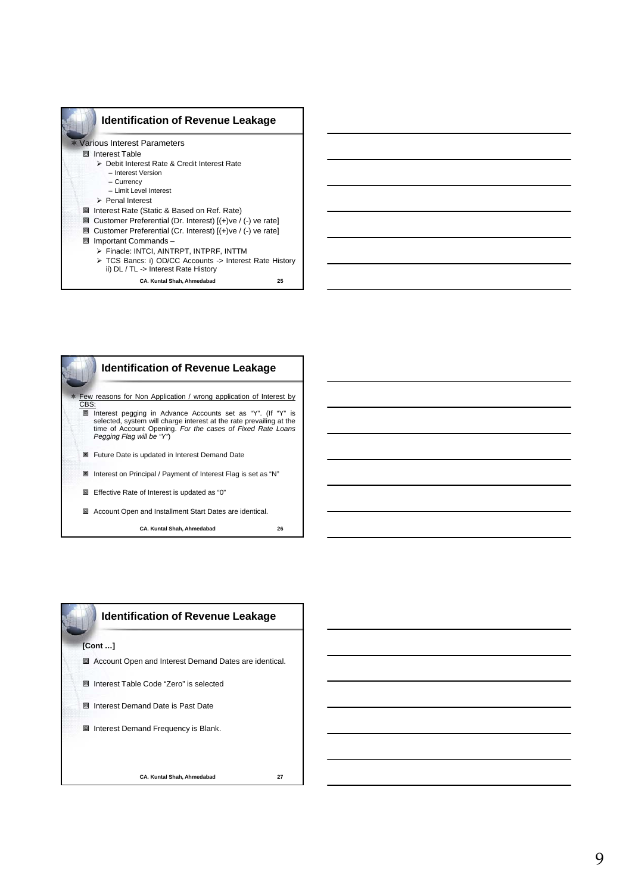



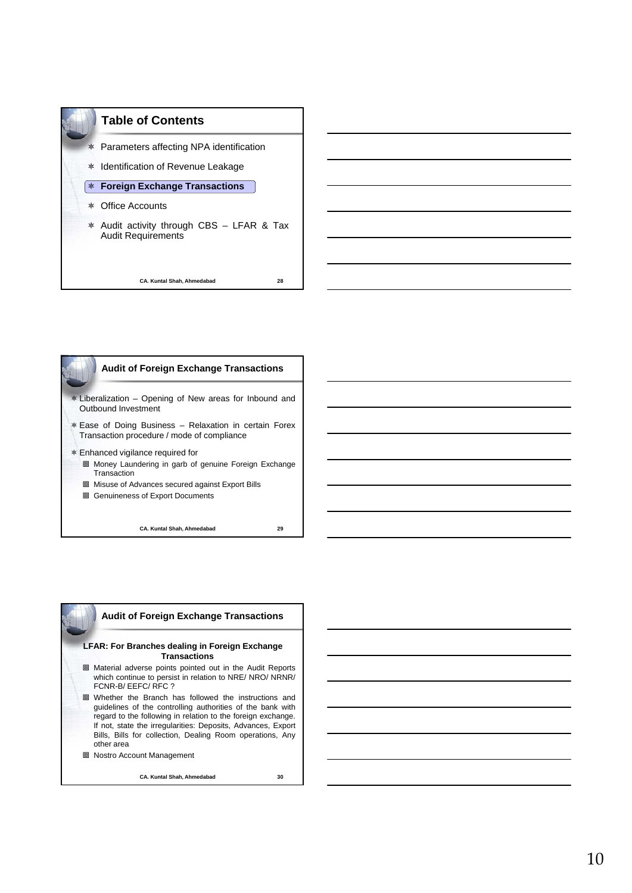





# **LFAR: For Branches dealing in Foreign Exchange Transactions**

- Material adverse points pointed out in the Audit Reports which continue to persist in relation to NRE/ NRO/ NRNR/ FCNR-B/ EEFC/ RFC ?
- Whether the Branch has followed the instructions and guidelines of the controlling authorities of the bank with regard to the following in relation to the foreign exchange. If not, state the irregularities: Deposits, Advances, Export Bills, Bills for collection, Dealing Room operations, Any other area
- Nostro Account Management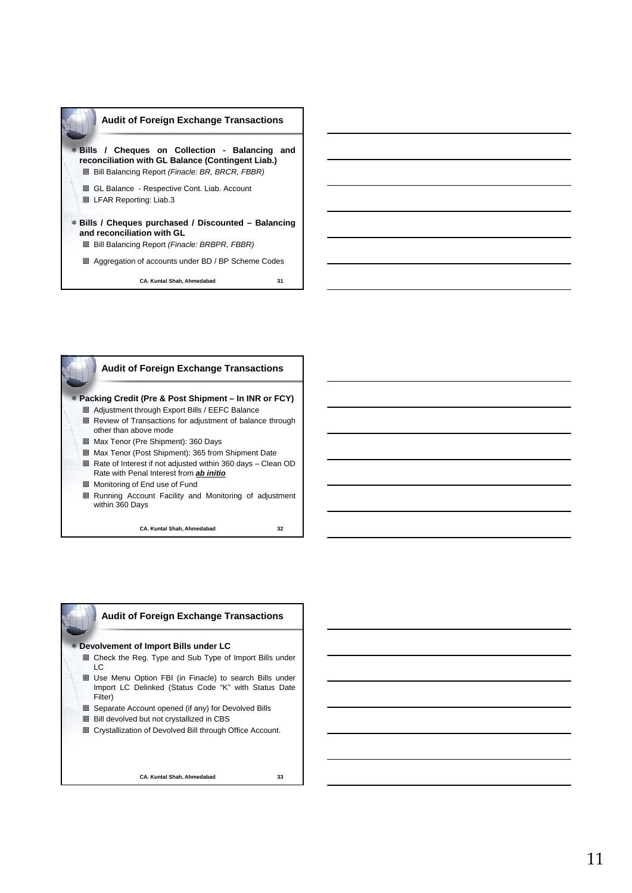



**Audit of Foreign Exchange Transactions**

#### **Devolvement of Import Bills under LC**

- Check the Reg. Type and Sub Type of Import Bills under LC
- Use Menu Option FBI (in Finacle) to search Bills under Import LC Delinked (Status Code "K" with Status Date Filter)
- Separate Account opened (if any) for Devolved Bills
- **B** Bill devolved but not crystallized in CBS
- Crystallization of Devolved Bill through Office Account.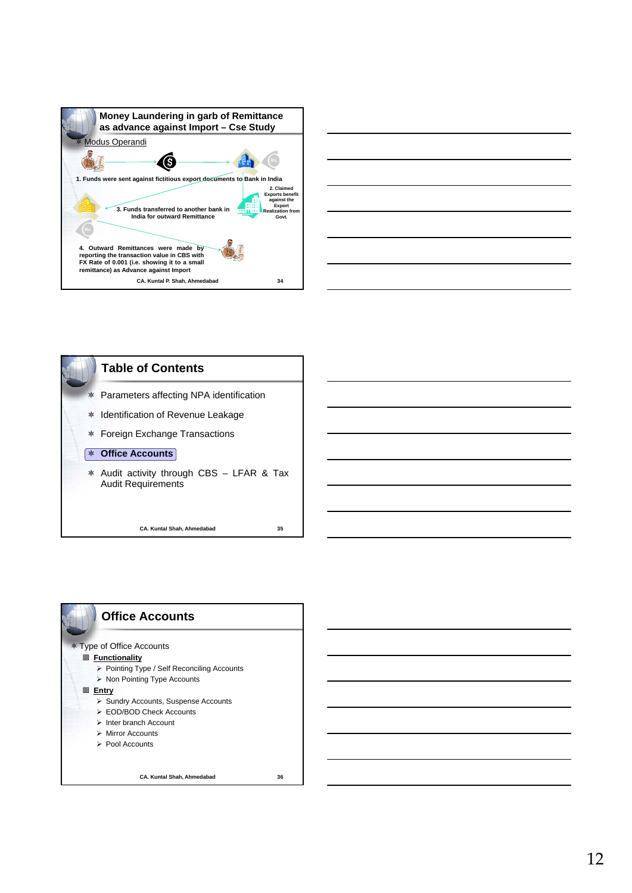







12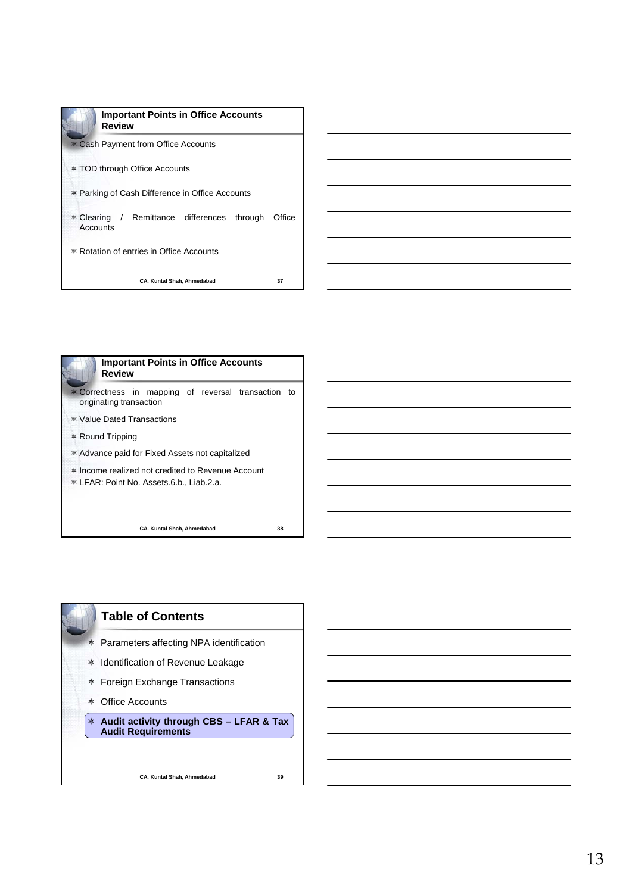| <b>Important Points in Office Accounts</b><br>Review    |        |
|---------------------------------------------------------|--------|
| * Cash Payment from Office Accounts                     |        |
| <b>* TOD through Office Accounts</b>                    |        |
| * Parking of Cash Difference in Office Accounts         |        |
| * Clearing / Remittance differences through<br>Accounts | Office |
| * Rotation of entries in Office Accounts                |        |
| <b>CA. Kuntal Shah. Ahmedabad</b>                       | 37     |



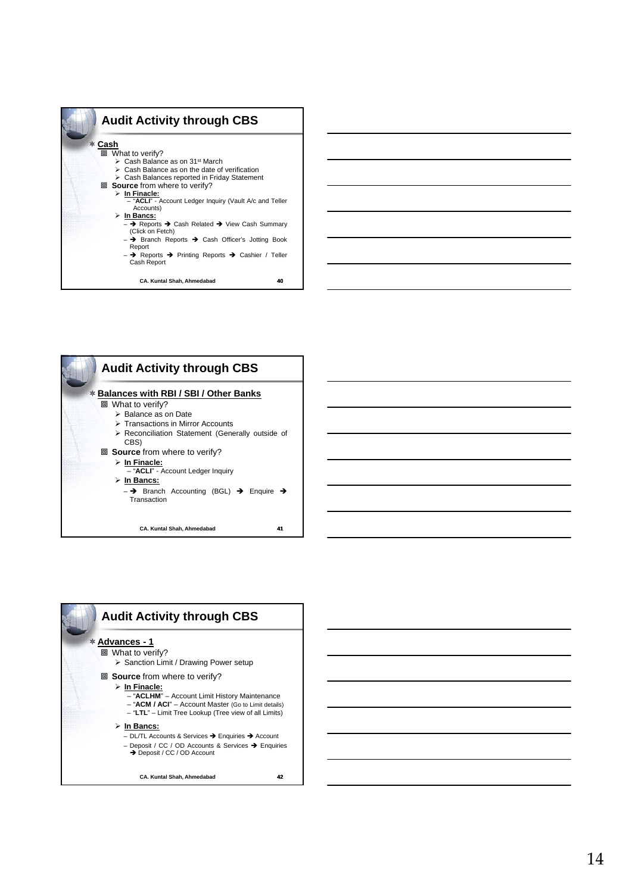



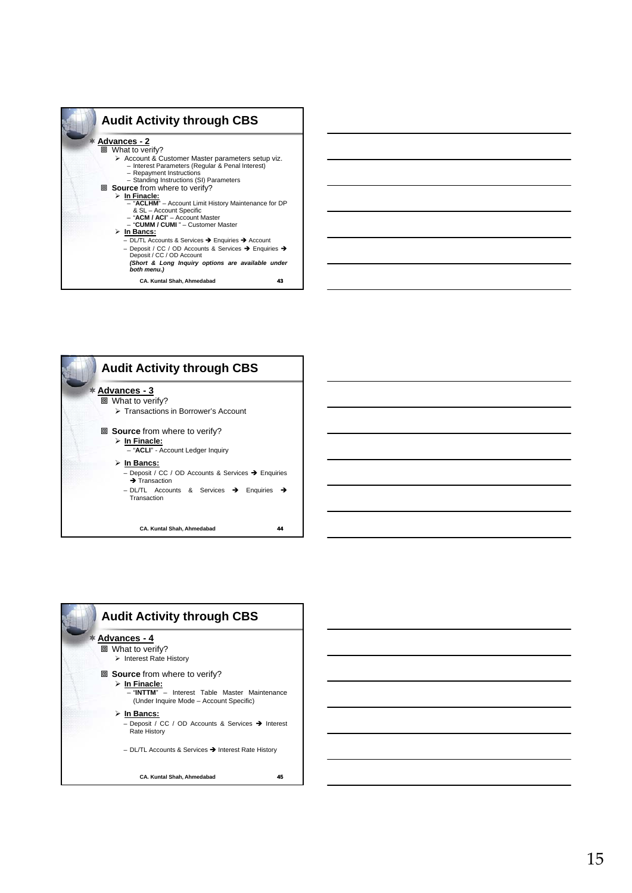



| <b>Audit Activity through CBS</b>                                                                                        |    |
|--------------------------------------------------------------------------------------------------------------------------|----|
| <b>* Advances - 4</b>                                                                                                    |    |
| 回 What to verify?                                                                                                        |    |
| $\triangleright$ Interest Rate History                                                                                   |    |
| 回 <b>Source</b> from where to verify?                                                                                    |    |
| $\triangleright$ In Finacle:<br>- "INTTM" - Interest Table Master Maintenance<br>(Under Inquire Mode – Account Specific) |    |
| ≻ In Bancs:<br>- Deposit / CC / OD Accounts & Services → Interest<br><b>Rate History</b>                                 |    |
| - DL/TL Accounts & Services → Interest Rate History                                                                      |    |
| <b>CA. Kuntal Shah, Ahmedabad</b>                                                                                        | 45 |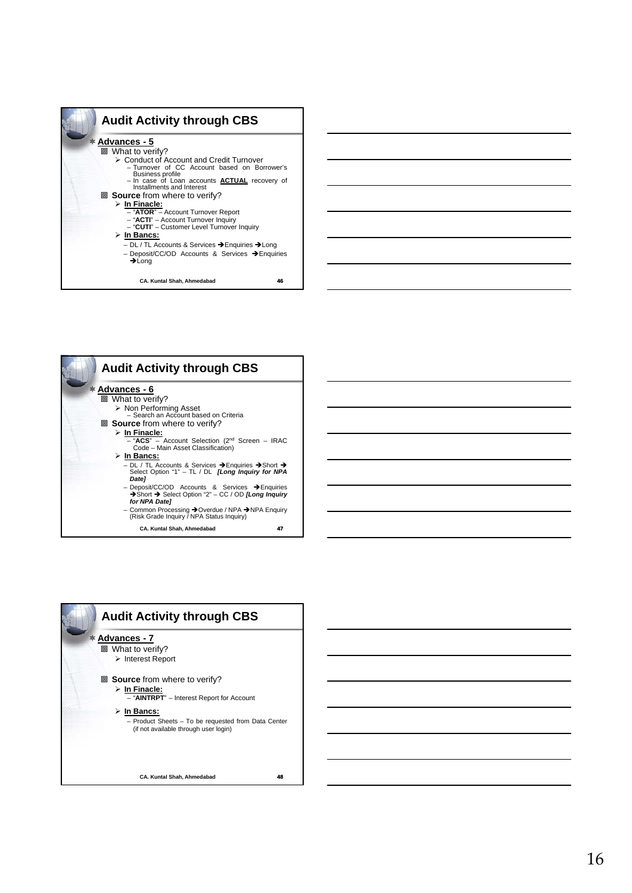| <b>Audit Activity through CBS</b>                                                                                                                                                                                                                                                                                                                         |
|-----------------------------------------------------------------------------------------------------------------------------------------------------------------------------------------------------------------------------------------------------------------------------------------------------------------------------------------------------------|
| $*$ Advances - 5<br>回 What to verify?<br>≻ Conduct of Account and Credit Turnover<br>- Turnover of CC Account based on Borrower's<br><b>Business profile</b><br>- In case of Loan accounts <b>ACTUAL</b> recovery of Installments and Interest                                                                                                            |
| <b>ID</b> Source from where to verify?<br>$\triangleright$ In Finacle:<br>- "ATOR" - Account Turnover Report<br>- "ACTI" - Account Turnover Inquiry<br>- "CUTI" - Customer Level Turnover Inquiry<br>≻ In Bancs:<br>- DL / TL Accounts & Services → Enquiries → Long<br>- Deposit/CC/OD Accounts & Services $\rightarrow$ Enquiries<br>$\rightarrow$ Long |
| CA. Kuntal Shah, Ahmedabad<br>46                                                                                                                                                                                                                                                                                                                          |



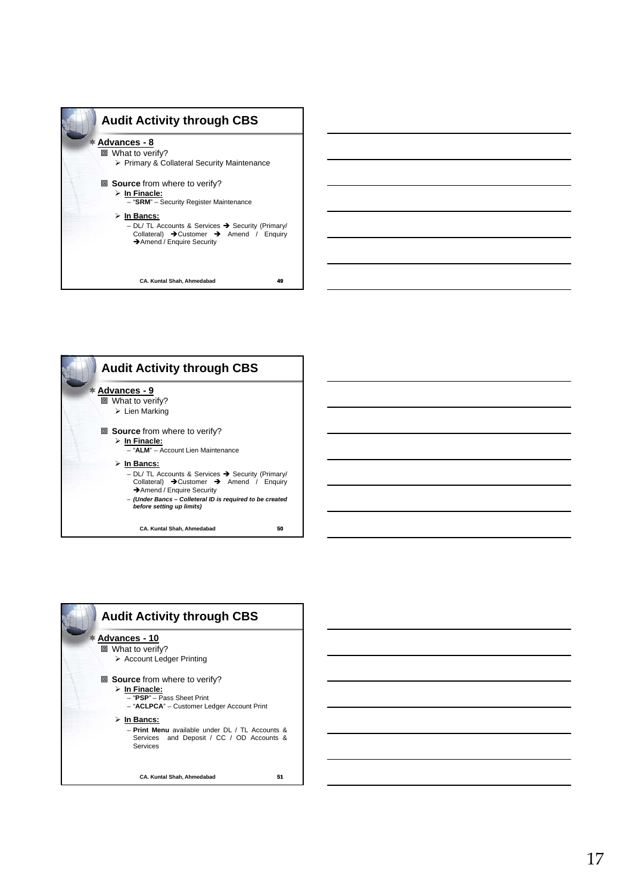



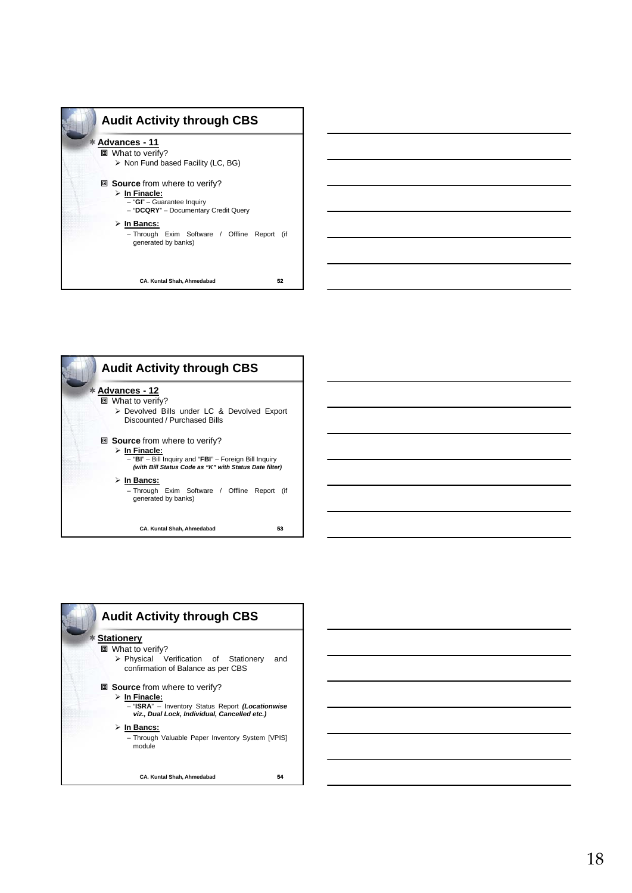





18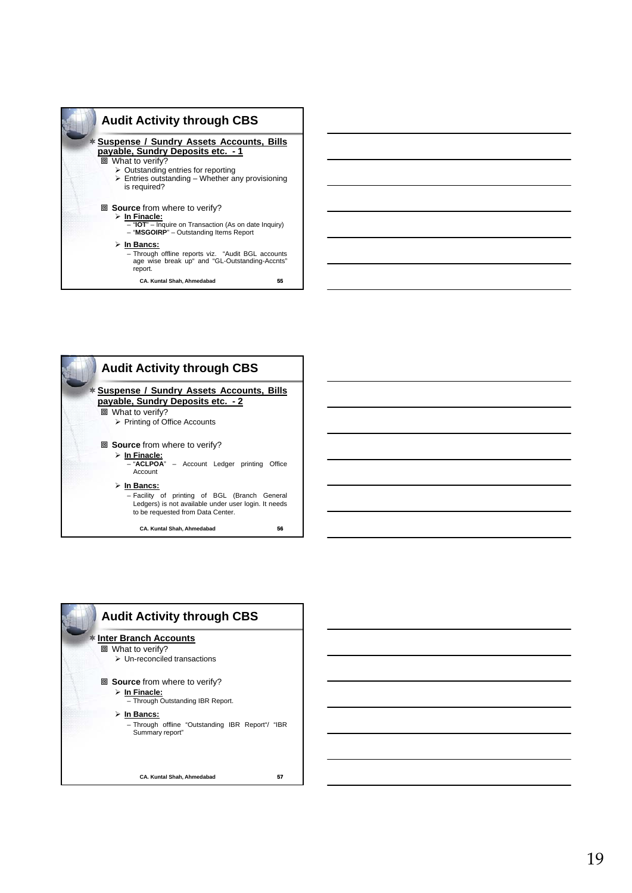



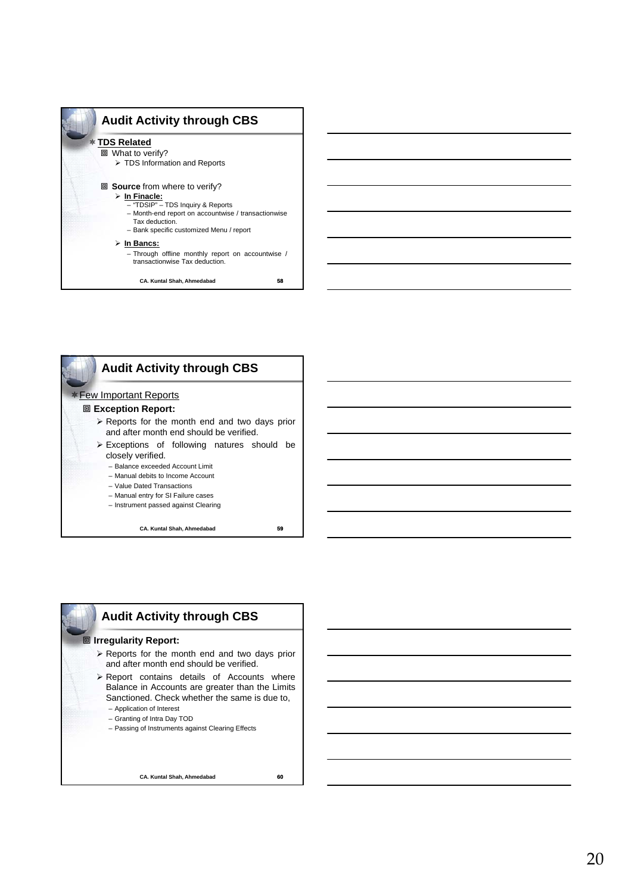



# **Audit Activity through CBS**

# **<b>I**rregularity Report:

- Reports for the month end and two days prior and after month end should be verified.
- $\triangleright$  Report contains details of Accounts where Balance in Accounts are greater than the Limits Sanctioned. Check whether the same is due to, – Application of Interest
	- Granting of Intra Day TOD
	- Passing of Instruments against Clearing Effects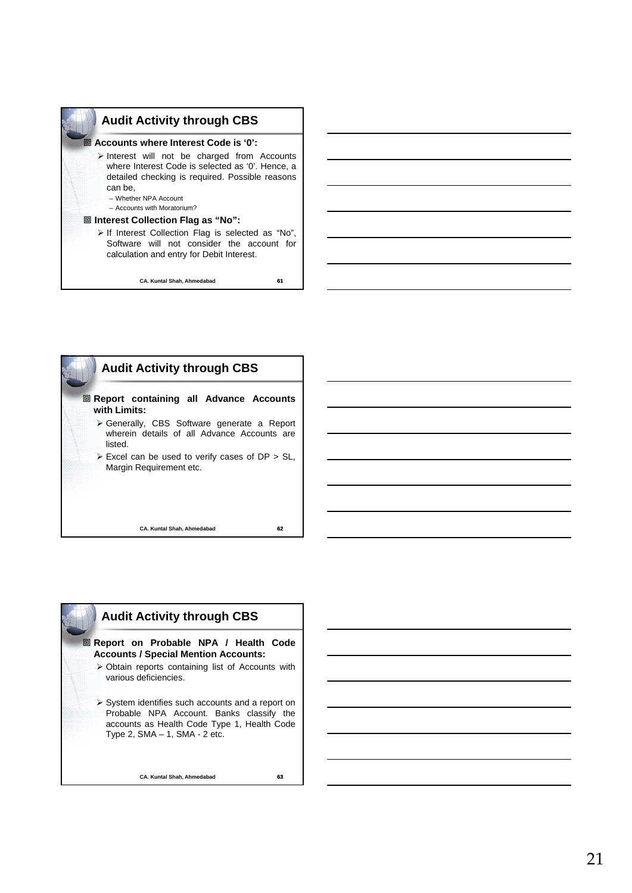

**CA. Kuntal Shah, Ahmedabad 61**





 **Report on Probable NPA / Health Code Accounts / Special Mention Accounts:**

- Obtain reports containing list of Accounts with various deficiencies.
- $\triangleright$  System identifies such accounts and a report on Probable NPA Account. Banks classify the accounts as Health Code Type 1, Health Code Type 2, SMA – 1, SMA - 2 etc.